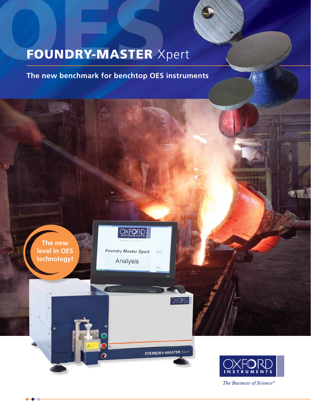## FOUNDRY-MASTER Xpert

**The new benchmark for benchtop OES instruments**

**The new level in OES technology!**

**OXFORD** 

**Foundry Master Xpert** Analysis

**OXFORD** 

**FOUNDRY-MASTER X** 



The Business of Science®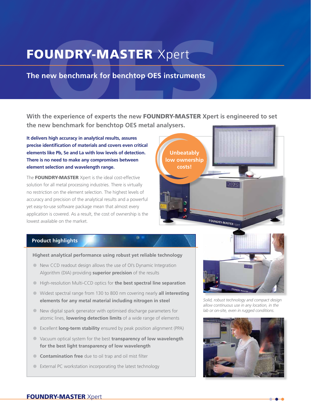# UNDRY-MASTER Xpert<br>ew benchmark for benchtop OES instruments<br>he experience of experts the new FOUNDRY-MASTER Xpert FOUNDRY-MASTER Xpert

**The new benchmark for benchtop OES instruments**

**With the experience of experts the new** FOUNDRY-MASTER **Xpert is engineered to set the new benchmark for benchtop OES metal analysers.**

**It delivers high accuracy in analytical results, assures precise identification of materials and covers even critical elements like Pb, Se and La with low levels of detection. There is no need to make any compromises between element selection and wavelength range.**

The **FOUNDRY-MASTER** Xpert is the ideal cost-effective solution for all metal processing industries. There is virtually no restriction on the element selection. The highest levels of accuracy and precision of the analytical results and a powerful yet easy-to-use software package mean that almost every application is covered. As a result, the cost of ownership is the lowest available on the market.



#### **Product highlights**

#### **Highest analytical performance using robust yet reliable technology**

- New CCD readout design allows the use of OI's Dynamic Integration Algorithm (DIA) providing **superior precision** of the results
- **•** High-resolution Multi-CCD optics for **the best spectral line separation**
- **•** Widest spectral range from 130 to 800 nm covering nearly **all interesting elements for any metal material including nitrogen in steel**
- **•** New digital spark generator with optimised discharge parameters for atomic lines, **lowering detection limits** of a wide range of elements
- **•** Excellent **long-term stability** ensured by peak position alignment (PPA)
- **•** Vacuum optical system for the best **transparency of low wavelength for the best light transparency of low wavelength**
- **• Contamination free** due to oil trap and oil mist filter
- **•** External PC workstation incorporating the latest technology



*Solid, robust technology and compact design allow continuous use in any location, in the lab or on-site, even in rugged conditions.*

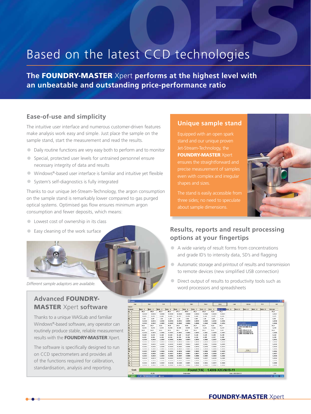## Based on the latest CCD technologies

**The** FOUNDRY-MASTER Xpert **performs at the highest level with an unbeatable and outstanding price-performance ratio**

#### **Ease-of-use and simplicity**

The intuitive user interface and numerous customer-driven features make analysis work easy and simple. Just place the sample on the sample stand, start the measurement and read the results.

- **•** Daily routine functions are very easy both to perform and to monitor
- **•** Special, protected user levels for untrained personnel ensure necessary integrity of data and results
- **•** Windows®-based user interface is familiar and intuitive yet flexible
- **•** System's self-diagnostics is fully integrated

Thanks to our unique Jet-Stream-Technology, the argon consumption on the sample stand is remarkably lower compared to gas purged optical systems. Optimised gas flow ensures minimum argon consumption and fewer deposits, which means:

- **•** Lowest cost of ownership in its class
- **•** Easy cleaning of the work surface

#### **Advanced** FOUNDRY-MASTER Xpert **software**

Thanks to a unique WASLab and familiar Windows®-based software, any operator can routinely produce stable, reliable measurement results with the **FOUNDRY-MASTER** Xpert.

The software is specifically designed to run on CCD spectrometers and provides all of the functions required for calibration, standardisation, analysis and reporting.

#### **Unique sample stand**

Equipped with an open spark Jet-Stream-Technology, the **FOUNDRY-MASTER Xpert** ensures the straightforward and precise measurement of samples even with complex and irregular shapes and sizes.

The stand is easily accessible from three sides; no need to speculate about sample dimensions.



#### **Results, reports and result processing options at your fingertips**

- **•** A wide variety of result forms from concentrations and grade ID's to intensity data, SD's and flagging
- **•** Automatic storage and printout of results and transmission to remote devices (new simplified USB connection)
- **•** Direct output of results to productivity tools such as Different sample adaptors are available.<br>
Word processors and spreadsheets **Different sample adaptors are available.**

| <b>Langia</b> |                |                                                                 |                |                                            |                |                   |                    |                |                    |                     |                |          |                                                  |                |                |               |
|---------------|----------------|-----------------------------------------------------------------|----------------|--------------------------------------------|----------------|-------------------|--------------------|----------------|--------------------|---------------------|----------------|----------|--------------------------------------------------|----------------|----------------|---------------|
| Element       | <b>Barn I.</b> | <b>Barn I</b>                                                   | <b>Marin J</b> | <b>North 4</b>                             | <b>Burn A</b>  | <b>Burn &amp;</b> | <b>Bisen F</b>     | <b>Burn #</b>  | <b>Board #</b>     | <b>Parent Elect</b> | <b>Burn 33</b> | Marin XV | <b>Married 1.3</b>                               | <b>Burn 14</b> | <b>Barn 11</b> | Average       |
| $-1$          | 48.3           | 48.8                                                            | 48.3           | 48.1                                       | 57.9           | 88.9              | 88.1               | 88.8           | 88,6               | 88,4                |                |          |                                                  |                |                | 88.1          |
| $\epsilon$ .  | 4,6239         | 8,8156                                                          | 4.8245         | 0.0229                                     | 6.8239         | 9.9726            | 8,8223             | 6.8236         | <b>N.M235</b>      | 0.9227              |                |          |                                                  |                |                | <b>U.9237</b> |
| 86 4          | 4,415          | 8.436                                                           | 4.468          | 0.674                                      | 0.433          | 8.476             | 4,483              | 8.494          | 8.477              | 9,464               |                |          |                                                  |                |                | 9,473         |
| . .           | 1.65           | 1.47                                                            | 1.83           | 1.45                                       | 4.43           | 1.64              | 1.43               | 1.86           | 1.65               | 1.44                |                |          |                                                  |                |                | 1.45          |
| ٠             | 4,0339         | 8,8139                                                          | 4,8238         | 6.6954                                     | 4.4233         | 6,6993            | 8,8939             | 8,0739         | 0.4939             | 0,0226              |                |          |                                                  |                |                | 0,0238        |
| $\cdots$      | 4.0049         | 0.0043                                                          | 4.0001         | 0.0047                                     | 8.9988         | 0.0048            | 8.0046             | 8.0048         | 0.6658             | 0,0004              |                |          | <b>Number</b> around the                         |                |                | 0,0018        |
| KP 9          | 18.8           | 18.7                                                            | 18.8           | 18.8                                       | 19.8           | 18.8              | 38.7               | 18,8           | 88.8               | 18.7                |                |          | <b>LAZOB XZC/NIFB-91</b><br>1.4211 X2C/NIN 18-10 |                |                | 18.7          |
| . .           | 8,238          | 8.916                                                           | 4.918          | 8.934                                      | 8,948          | 0.936             | 8,239              | 9,345          | 8,344              | 0,337               |                | 304 L    |                                                  |                |                | 0,318         |
| . .           | $18 - 1$       | 38.2                                                            | 19.1           | 38.8                                       | 18.1           | 19.6              | 38.1               | 18.1           | 88.8               | 3.96                |                |          | 'LASOS VSCHILL 18 10                             |                |                | 10.1          |
| AL 4          | 4,000          | 9,8656                                                          | 0.0001         | <b><i><u><i><b>B. BREE</b></i></u></i></b> | <b>W. MONA</b> | 0.0065            | 4.8973             | 9,3961         | 0.8659             | 1,3887              |                |          | 1,4541 X6Cr10Ti 18-10<br>1,4550 X6Cr10RB 18-19   |                |                | 1,3066        |
| Ke k          | 9.119          | 8.110                                                           | 4.149          |                                            | 6.149          | 8.147             | 9,149              | <b>R.14M</b>   | 8.358              | 0.138               |                |          |                                                  |                |                | 0.148         |
| Ke A          | 4,501          | 8.993                                                           | 8.194          | 0.196                                      | 6,169          | 0.196             | 6.194              | 8.365          | 9.597              | 0.202               |                |          |                                                  |                |                | 11,1986       |
| $\cdots$      | 8,0006         | 0.9016                                                          | 0.0017         | 0.0012                                     | 0.0011         | 0.0073            | 0.0972             | 9.0002         | 0.0057             | 0.3068              |                |          |                                                  |                |                | 0.0074        |
| Th 4          | $96 - 38688$   | 91, 918 8 91                                                    | M. 469.115     | 9.5918                                     | 9,8919         | 41,440.13         | 9,9818             | 9,3018         | 0.0419             | 11,8818             |                |          |                                                  |                |                | 11,8818       |
| ۰             | 4,0423         | 8,6483                                                          | 4.4185         | 8,6633                                     | 8.8618         | 0.0613            | 0,0639             | 8,8641         | 1,6618             | 0,6689              |                |          |                                                  |                |                | 0,8618        |
| - 6           | 9,0248         | 8,8266                                                          | 9.9345         | <b><i><u><i><u>A</u></i></u></i></b>       | 4.4992         | 0.0293            | 9.9275             | <b>R. OTTO</b> | 4,8242             | 9.9978              |                |          |                                                  |                |                | 9.9972        |
| . .           | A.0110         | 4.9493                                                          | 4.9415         | A.001A                                     | a serio        | 0.8018            | <b>B. MELA</b>     | 6.5616         | 2,6818             | R.MIA               |                |          |                                                  |                |                | B.5816        |
| <b>Fact</b> 4 | 8,0039         | 8,8656                                                          | 4.0616         | 0.0031                                     | 8.8016         | 0.0033            | 0,0033             | 0.0034         | 0,0053             | 0,8009              |                |          | Diries                                           |                |                | 0,0004        |
|               | 8.0017         |                                                                 | 4.8012         |                                            |                | 0.0017            | 8,8817             | 8.8816         | 1,6818             | H.8017              |                |          |                                                  |                |                | 0,0017        |
| Ka k          | 9.0013         | 9,9113                                                          | 4.0025         | 9.0004                                     | 4.4045         | 0.0000            | 0.0004             | 8.8005         | 2,0003             | 0.9996              |                |          |                                                  |                |                | 0,0019        |
| ۰             | 8,0236         | 8,8515                                                          | 4.8132         | 6,6587                                     | 8.8775         | 9,8913            | 8,8736             | <b>B.BETT</b>  | 0.8239             | 0.5389              |                |          |                                                  |                |                | 0,0044        |
| $-1$          | 8,000          | 8,3810                                                          | 4.5615         | 4.4419                                     | 8.8410         | $A$ . Maint       | E. 8616            | 5.3678         | 3,3814             | 11,3600             |                |          |                                                  |                |                | 11,30000      |
| $-4$          | 9,0108         | 8,8572                                                          | 9.9197         | 0.6330                                     | 8.8198         | 6.6671            | 8.8194             | 8,0034         | 0.9877             | 0.0048              |                |          |                                                  |                |                | 1,0000        |
| Te #          | A.mak          | 6.9546                                                          | 4.351          | 4.0145                                     | 8.8641         | <b>K. BRAK</b>    | 6,8816             | 8,3946         | 1.6518             | 1,3346              |                |          |                                                  |                |                | 1,3110        |
| Grade         |                |                                                                 |                |                                            |                |                   | <b>Found [1/6]</b> |                | 1.4306 X2CrNi19-11 |                     |                |          |                                                  |                |                |               |
| at.           |                | PE. 339<br><b>Date LABILIDATE III</b><br><b>Turning product</b> |                |                                            |                |                   |                    |                |                    |                     |                |          |                                                  | ics            |                |               |
| <b>Latert</b> | . .            | <b>Call Houstown, Hills East</b>                                | <b>B</b> razal |                                            |                |                   |                    |                |                    |                     |                |          |                                                  |                |                | は 「ののあ」       |